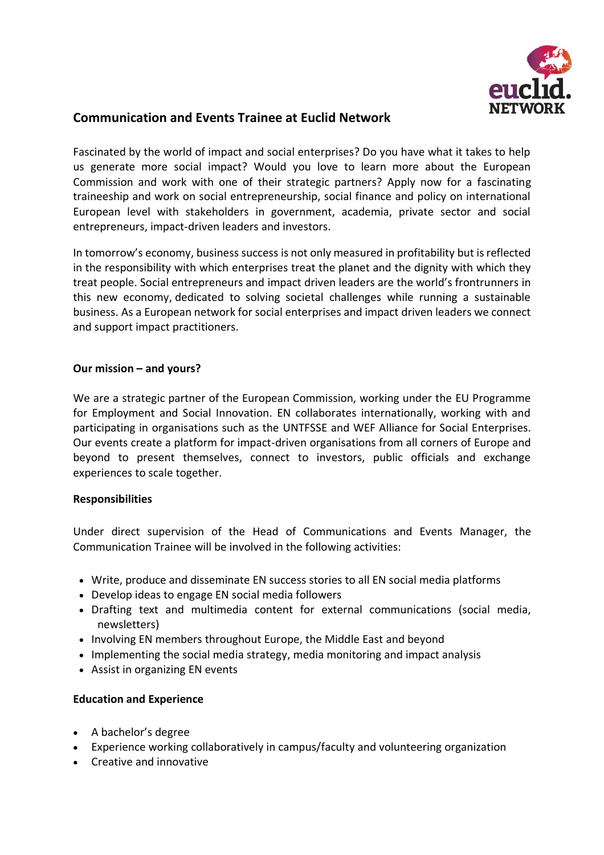

# **Communication and Events Trainee at Euclid Network**

Fascinated by the world of impact and social enterprises? Do you have what it takes to help us generate more social impact? Would you love to learn more about the European Commission and work with one of their strategic partners? Apply now for a fascinating traineeship and work on social entrepreneurship, social finance and policy on international European level with stakeholders in government, academia, private sector and social entrepreneurs, impact-driven leaders and investors.

In tomorrow's economy, business success is not only measured in profitability but is reflected in the responsibility with which enterprises treat the planet and the dignity with which they treat people. Social entrepreneurs and impact driven leaders are the world's frontrunners in this new economy, dedicated to solving societal challenges while running a sustainable business. As a European network for social enterprises and impact driven leaders we connect and support impact practitioners.

## **Our mission – and yours?**

We are a strategic partner of the European Commission, working under the EU Programme for Employment and Social Innovation. EN collaborates internationally, working with and participating in organisations such as the UNTFSSE and WEF Alliance for Social Enterprises. Our events create a platform for impact-driven organisations from all corners of Europe and beyond to present themselves, connect to investors, public officials and exchange experiences to scale together.

#### **Responsibilities**

Under direct supervision of the Head of Communications and Events Manager, the Communication Trainee will be involved in the following activities:

- Write, produce and disseminate EN success stories to all EN social media platforms
- Develop ideas to engage EN social media followers
- Drafting text and multimedia content for external communications (social media, newsletters)
- Involving EN members throughout Europe, the Middle East and beyond
- Implementing the social media strategy, media monitoring and impact analysis
- Assist in organizing EN events

#### **Education and Experience**

- A bachelor's degree
- Experience working collaboratively in campus/faculty and volunteering organization
- Creative and innovative